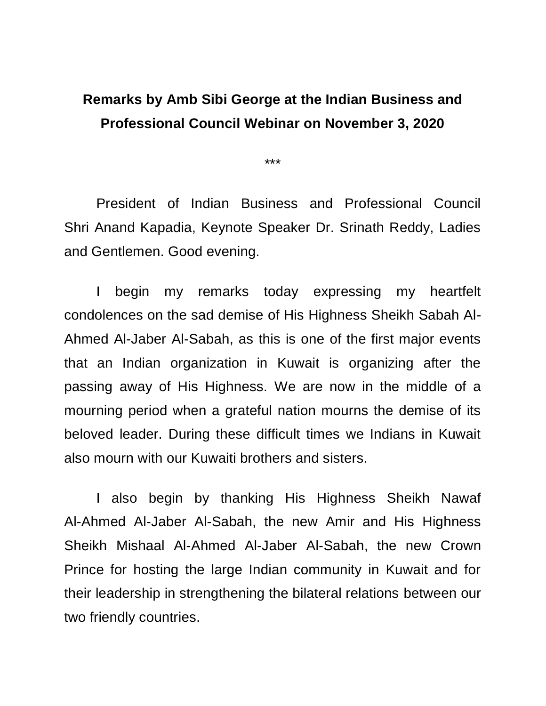## **Remarks by Amb Sibi George at the Indian Business and Professional Council Webinar on November 3, 2020**

\*\*\*

President of Indian Business and Professional Council Shri Anand Kapadia, Keynote Speaker Dr. Srinath Reddy, Ladies and Gentlemen. Good evening.

I begin my remarks today expressing my heartfelt condolences on the sad demise of His Highness Sheikh Sabah Al-Ahmed Al-Jaber Al-Sabah, as this is one of the first major events that an Indian organization in Kuwait is organizing after the passing away of His Highness. We are now in the middle of a mourning period when a grateful nation mourns the demise of its beloved leader. During these difficult times we Indians in Kuwait also mourn with our Kuwaiti brothers and sisters.

I also begin by thanking His Highness Sheikh Nawaf Al-Ahmed Al-Jaber Al-Sabah, the new Amir and His Highness Sheikh Mishaal Al-Ahmed Al-Jaber Al-Sabah, the new Crown Prince for hosting the large Indian community in Kuwait and for their leadership in strengthening the bilateral relations between our two friendly countries.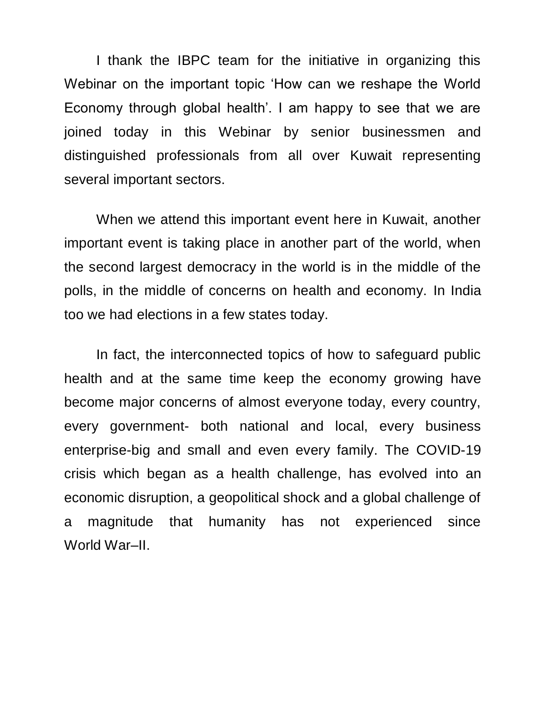I thank the IBPC team for the initiative in organizing this Webinar on the important topic 'How can we reshape the World Economy through global health'. I am happy to see that we are joined today in this Webinar by senior businessmen and distinguished professionals from all over Kuwait representing several important sectors.

When we attend this important event here in Kuwait, another important event is taking place in another part of the world, when the second largest democracy in the world is in the middle of the polls, in the middle of concerns on health and economy. In India too we had elections in a few states today.

In fact, the interconnected topics of how to safeguard public health and at the same time keep the economy growing have become major concerns of almost everyone today, every country, every government- both national and local, every business enterprise-big and small and even every family. The COVID-19 crisis which began as a health challenge, has evolved into an economic disruption, a geopolitical shock and a global challenge of a magnitude that humanity has not experienced since World War–II.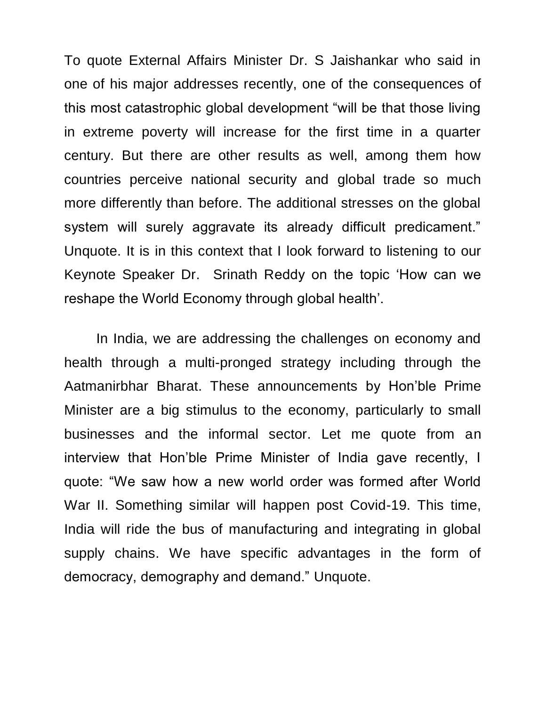To quote External Affairs Minister Dr. S Jaishankar who said in one of his major addresses recently, one of the consequences of this most catastrophic global development "will be that those living in extreme poverty will increase for the first time in a quarter century. But there are other results as well, among them how countries perceive national security and global trade so much more differently than before. The additional stresses on the global system will surely aggravate its already difficult predicament." Unquote. It is in this context that I look forward to listening to our Keynote Speaker Dr. Srinath Reddy on the topic 'How can we reshape the World Economy through global health'.

In India, we are addressing the challenges on economy and health through a multi-pronged strategy including through the Aatmanirbhar Bharat. These announcements by Hon'ble Prime Minister are a big stimulus to the economy, particularly to small businesses and the informal sector. Let me quote from an interview that Hon'ble Prime Minister of India gave recently, I quote: "We saw how a new world order was formed after World War II. Something similar will happen post Covid-19. This time, India will ride the bus of manufacturing and integrating in global supply chains. We have specific advantages in the form of democracy, demography and demand." Unquote.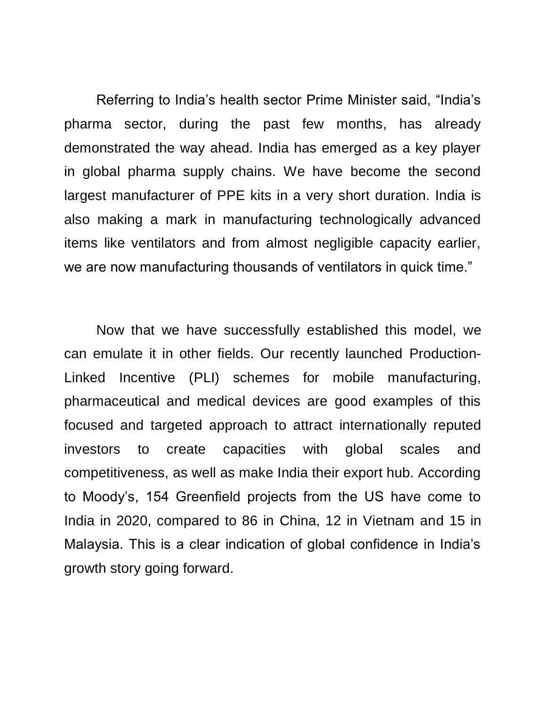Referring to India's health sector Prime Minister said, "India's pharma sector, during the past few months, has already demonstrated the way ahead. India has emerged as a key player in global pharma supply chains. We have become the second largest manufacturer of PPE kits in a very short duration. India is also making a mark in manufacturing technologically advanced items like ventilators and from almost negligible capacity earlier, we are now manufacturing thousands of ventilators in quick time."

Now that we have successfully established this model, we can emulate it in other fields. Our recently launched Production-Linked Incentive (PLI) schemes for mobile manufacturing, pharmaceutical and medical devices are good examples of this focused and targeted approach to attract internationally reputed investors to create capacities with global scales and competitiveness, as well as make India their export hub. According to Moody's, 154 Greenfield projects from the US have come to India in 2020, compared to 86 in China, 12 in Vietnam and 15 in Malaysia. This is a clear indication of global confidence in India's growth story going forward.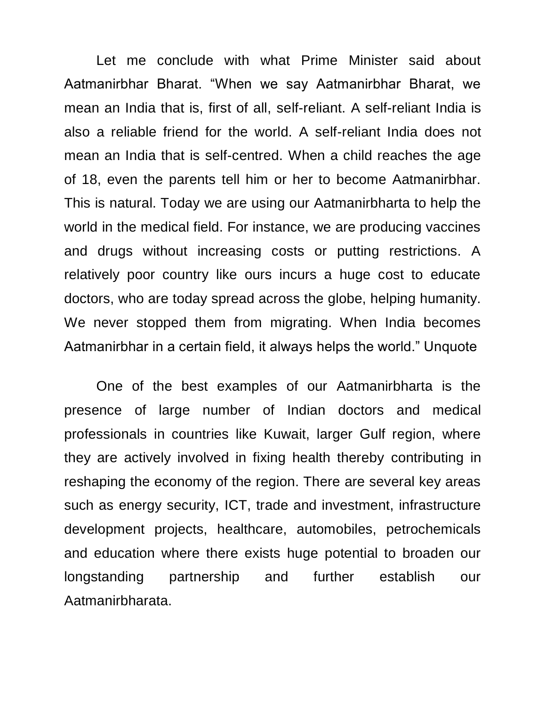Let me conclude with what Prime Minister said about Aatmanirbhar Bharat. "When we say Aatmanirbhar Bharat, we mean an India that is, first of all, self-reliant. A self-reliant India is also a reliable friend for the world. A self-reliant India does not mean an India that is self-centred. When a child reaches the age of 18, even the parents tell him or her to become Aatmanirbhar. This is natural. Today we are using our Aatmanirbharta to help the world in the medical field. For instance, we are producing vaccines and drugs without increasing costs or putting restrictions. A relatively poor country like ours incurs a huge cost to educate doctors, who are today spread across the globe, helping humanity. We never stopped them from migrating. When India becomes Aatmanirbhar in a certain field, it always helps the world." Unquote

One of the best examples of our Aatmanirbharta is the presence of large number of Indian doctors and medical professionals in countries like Kuwait, larger Gulf region, where they are actively involved in fixing health thereby contributing in reshaping the economy of the region. There are several key areas such as energy security, ICT, trade and investment, infrastructure development projects, healthcare, automobiles, petrochemicals and education where there exists huge potential to broaden our longstanding partnership and further establish our Aatmanirbharata.